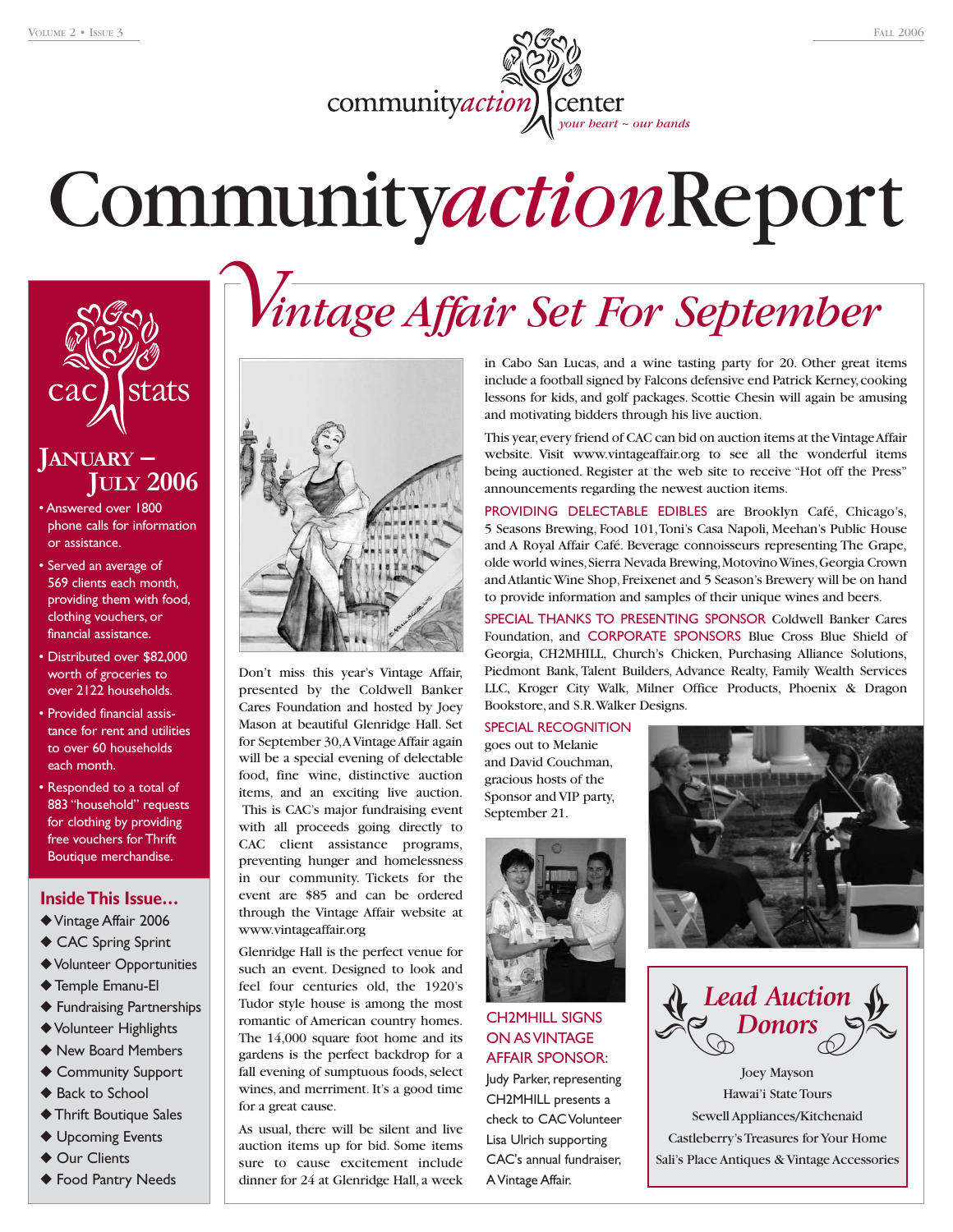community *action* center

# Community*action*Report



# **JANUARY – JULY <sup>2006</sup>**

- Answered over 1800 phone calls for information or assistance.
- Served an average of 569 clients each month, providing them with food, clothing vouchers, or financial assistance.
- Distributed over \$82,000 worth of groceries to over 2122 households.
- Provided financial assistance for rent and utilities to over 60 households each month.
- Responded to a total of 883 "household" requests for clothing by providing free vouchers for Thrift Boutique merchandise.

#### **Inside This Issue…**

- ◆Vintage Affair 2006
- ◆ CAC Spring Sprint
- ◆Volunteer Opportunities
- ◆ Temple Emanu-El
- ◆ Fundraising Partnerships
- ◆Volunteer Highlights
- ◆ New Board Members
- ◆ Community Support
- ◆ Back to School
- ◆ Thrift Boutique Sales
- ◆ Upcoming Events
- ◆ Our Clients
- ◆ Food Pantry Needs



Don't miss this year's Vintage Affair, presented by the Coldwell Banker Cares Foundation and hosted by Joey Mason at beautiful Glenridge Hall. Set for September 30,A Vintage Affair again will be a special evening of delectable food, fine wine, distinctive auction items, and an exciting live auction. This is CAC's major fundraising event with all proceeds going directly to CAC client assistance programs, preventing hunger and homelessness in our community. Tickets for the event are \$85 and can be ordered through the Vintage Affair website at www.vintageaffair.org

Glenridge Hall is the perfect venue for such an event. Designed to look and feel four centuries old, the 1920's Tudor style house is among the most romantic of American country homes. The 14,000 square foot home and its gardens is the perfect backdrop for a fall evening of sumptuous foods, select wines, and merriment. It's a good time for a great cause.

As usual, there will be silent and live auction items up for bid. Some items sure to cause excitement include dinner for 24 at Glenridge Hall, a week

# *Vintage Affair Set For September*

in Cabo San Lucas, and a wine tasting party for 20. Other great items include a football signed by Falcons defensive end Patrick Kerney,cooking lessons for kids, and golf packages. Scottie Chesin will again be amusing and motivating bidders through his live auction.

This year, every friend of CAC can bid on auction items at the Vintage Affair website. Visit www.vintageaffair.org to see all the wonderful items being auctioned. Register at the web site to receive "Hot off the Press" announcements regarding the newest auction items.

PROVIDING DELECTABLE EDIBLES are Brooklyn Café, Chicago's, 5 Seasons Brewing, Food 101,Toni's Casa Napoli, Meehan's Public House and A Royal Affair Café. Beverage connoisseurs representing The Grape, olde world wines,Sierra Nevada Brewing,Motovino Wines,Georgia Crown and Atlantic Wine Shop,Freixenet and 5 Season's Brewery will be on hand to provide information and samples of their unique wines and beers.

SPECIAL THANKS TO PRESENTING SPONSOR Coldwell Banker Cares Foundation, and CORPORATE SPONSORS Blue Cross Blue Shield of Georgia, CH2MHILL, Church's Chicken, Purchasing Alliance Solutions, Piedmont Bank, Talent Builders, Advance Realty, Family Wealth Services LLC, Kroger City Walk, Milner Office Products, Phoenix & Dragon Bookstore, and S.R.Walker Designs.

SPECIAL RECOGNITION goes out to Melanie and David Couchman, gracious hosts of the Sponsor and VIP party, September 21.



#### CH2MHILL SIGNS ON AS VINTAGE AFFAIR SPONSOR: Judy Parker, representing CH2MHILL presents a check to CAC Volunteer Lisa Ulrich supporting

CAC's annual fundraiser,

A Vintage Affair.



*Lead Auction Donors*

Joey Mayson Hawai'i State Tours Sewell Appliances/Kitchenaid Castleberry's Treasures for Your Home Sali's Place Antiques & Vintage Accessories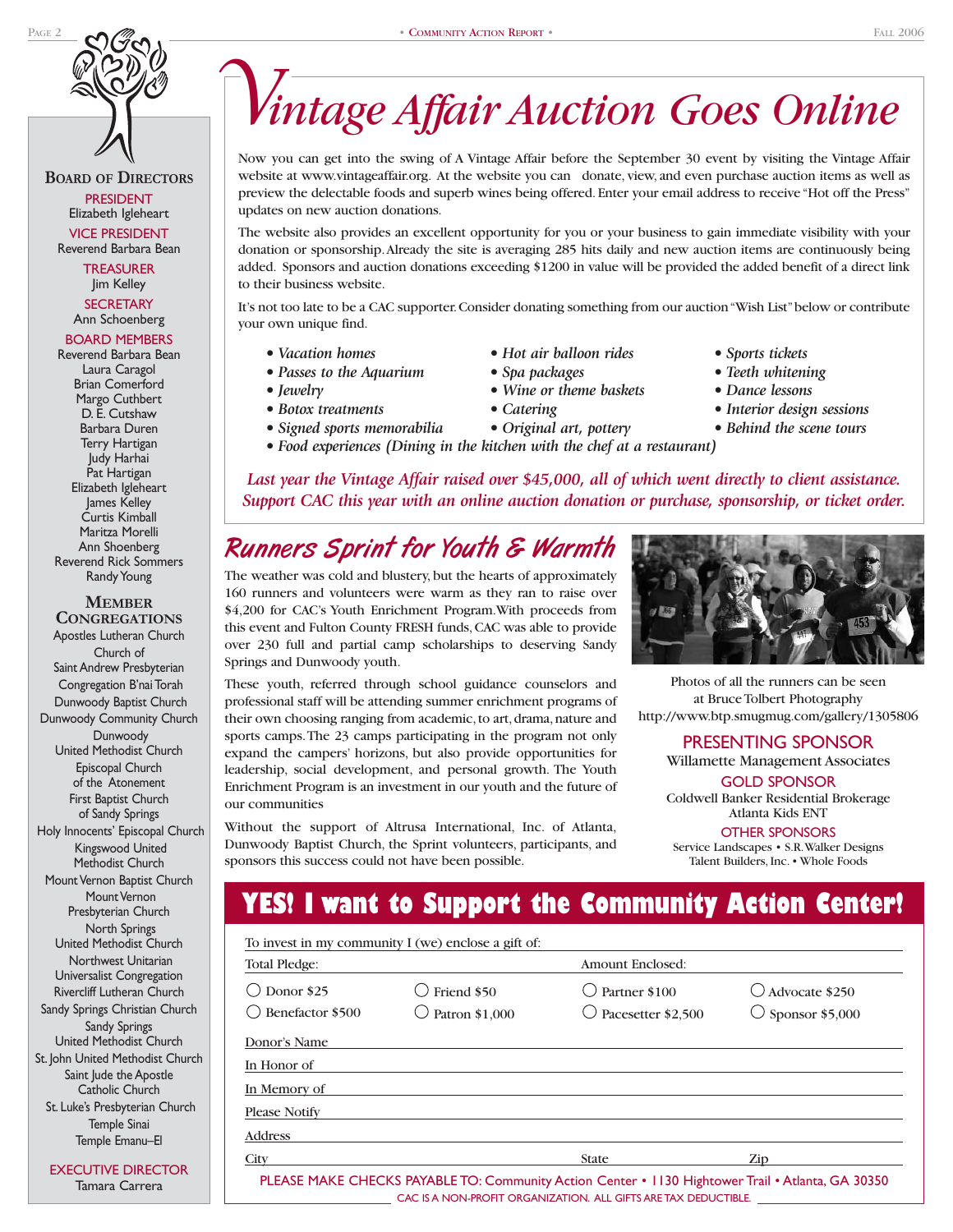**BOARD OF DIRECTORS** PRESIDENT Elizabeth Igleheart VICE PRESIDENT Reverend Barbara Bean

> **TREASURER** Jim Kelley **SECRETARY**

Ann Schoenberg

#### BOARD MEMBERS Reverend Barbara Bean

Laura Caragol Brian Comerford Margo Cuthbert D. E. Cutshaw Barbara Duren Terry Hartigan Judy Harhai Pat Hartigan Elizabeth Igleheart James Kelley Curtis Kimball Maritza Morelli Ann Shoenberg Reverend Rick Sommers Randy Young

**MEMBER CONGREGATIONS** Apostles Lutheran Church Church of Saint Andrew Presbyterian Congregation B'nai Torah Dunwoody Baptist Church Dunwoody Community Church Dunwoody United Methodist Church Episcopal Church of the Atonement First Baptist Church of Sandy Springs Holy Innocents' Episcopal Church Kingswood United Methodist Church Mount Vernon Baptist Church Mount Vernon Presbyterian Church North Springs United Methodist Church Northwest Unitarian Universalist Congregation Rivercliff Lutheran Church Sandy Springs Christian Church Sandy Springs United Methodist Church St. John United Methodist Church Saint Jude the Apostle Catholic Church St. Luke's Presbyterian Church Temple Sinai Temple Emanu–El

EXECUTIVE DIRECTOR Tamara Carrera

# *Vintage Affair Auction Goes Online*

Now you can get into the swing of A Vintage Affair before the September 30 event by visiting the Vintage Affair website at www.vintageaffair.org. At the website you can donate, view, and even purchase auction items as well as preview the delectable foods and superb wines being offered. Enter your email address to receive "Hot off the Press" updates on new auction donations.

The website also provides an excellent opportunity for you or your business to gain immediate visibility with your donation or sponsorship.Already the site is averaging 285 hits daily and new auction items are continuously being added. Sponsors and auction donations exceeding \$1200 in value will be provided the added benefit of a direct link to their business website.

It's not too late to be a CAC supporter.Consider donating something from our auction "Wish List"below or contribute your own unique find.

- *Vacation homes Hot air balloon rides Sports tickets*
- Passes to the Aquarium Spa packages Teeth whitening
- 
- 
- *Signed sports memorabilia Original art, pottery Behind the scene tours*
- *Jewelry Wine or theme baskets Dance lessons*
	-
	-

- 
- 
- *Botox treatments Catering Interior design sessions*
	-
- *Food experiences (Dining in the kitchen with the chef at a restaurant)*

Last year the Vintage Affair raised over \$45,000, all of which went directly to client assistance. *Support CAC this year with an online auction donation or purchase, sponsorship, or ticket order.*

## Runners Sprint for Youth & Warmth

The weather was cold and blustery, but the hearts of approximately 160 runners and volunteers were warm as they ran to raise over \$4,200 for CAC's Youth Enrichment Program.With proceeds from this event and Fulton County FRESH funds, CAC was able to provide over 230 full and partial camp scholarships to deserving Sandy Springs and Dunwoody youth.

These youth, referred through school guidance counselors and professional staff will be attending summer enrichment programs of their own choosing ranging from academic, to art, drama, nature and sports camps.The 23 camps participating in the program not only expand the campers' horizons, but also provide opportunities for leadership, social development, and personal growth. The Youth Enrichment Program is an investment in our youth and the future of our communities

Without the support of Altrusa International, Inc. of Atlanta, Dunwoody Baptist Church, the Sprint volunteers, participants, and sponsors this success could not have been possible.



Photos of all the runners can be seen at Bruce Tolbert Photography http://www.btp.smugmug.com/gallery/1305806

#### PRESENTING SPONSOR

Willamette Management Associates

GOLD SPONSOR

Coldwell Banker Residential Brokerage Atlanta Kids ENT

OTHER SPONSORS

Service Landscapes • S.R.Walker Designs Talent Builders, Inc. • Whole Foods

## **YES! I want to Support the Community Action Center!**

|                                      | To invest in my community I (we) enclose a gift of: |                                     |                                                      |
|--------------------------------------|-----------------------------------------------------|-------------------------------------|------------------------------------------------------|
| Total Pledge:                        |                                                     | Amount Enclosed:                    |                                                      |
| Donor \$25<br>()<br>Benefactor \$500 | Friend \$50<br>Patron \$1,000                       | Partner \$100<br>Pacesetter \$2,500 | $\bigcirc$ Advocate \$250<br>$\circ$ Sponsor \$5,000 |
| Donor's Name                         |                                                     |                                     |                                                      |
| In Honor of                          |                                                     |                                     |                                                      |
| In Memory of                         |                                                     |                                     |                                                      |
| Please Notify                        |                                                     |                                     |                                                      |
| <b>Address</b>                       |                                                     |                                     |                                                      |
| City                                 |                                                     | <b>State</b>                        | Zip                                                  |

PLEASE MAKE CHECKS PAYABLE TO: Community Action Center • 1130 Hightower Trail • Atlanta, GA 30350 CAC IS A NON-PROFIT ORGANIZATION. ALL GIFTS ARE TAX DEDUCTIBLE.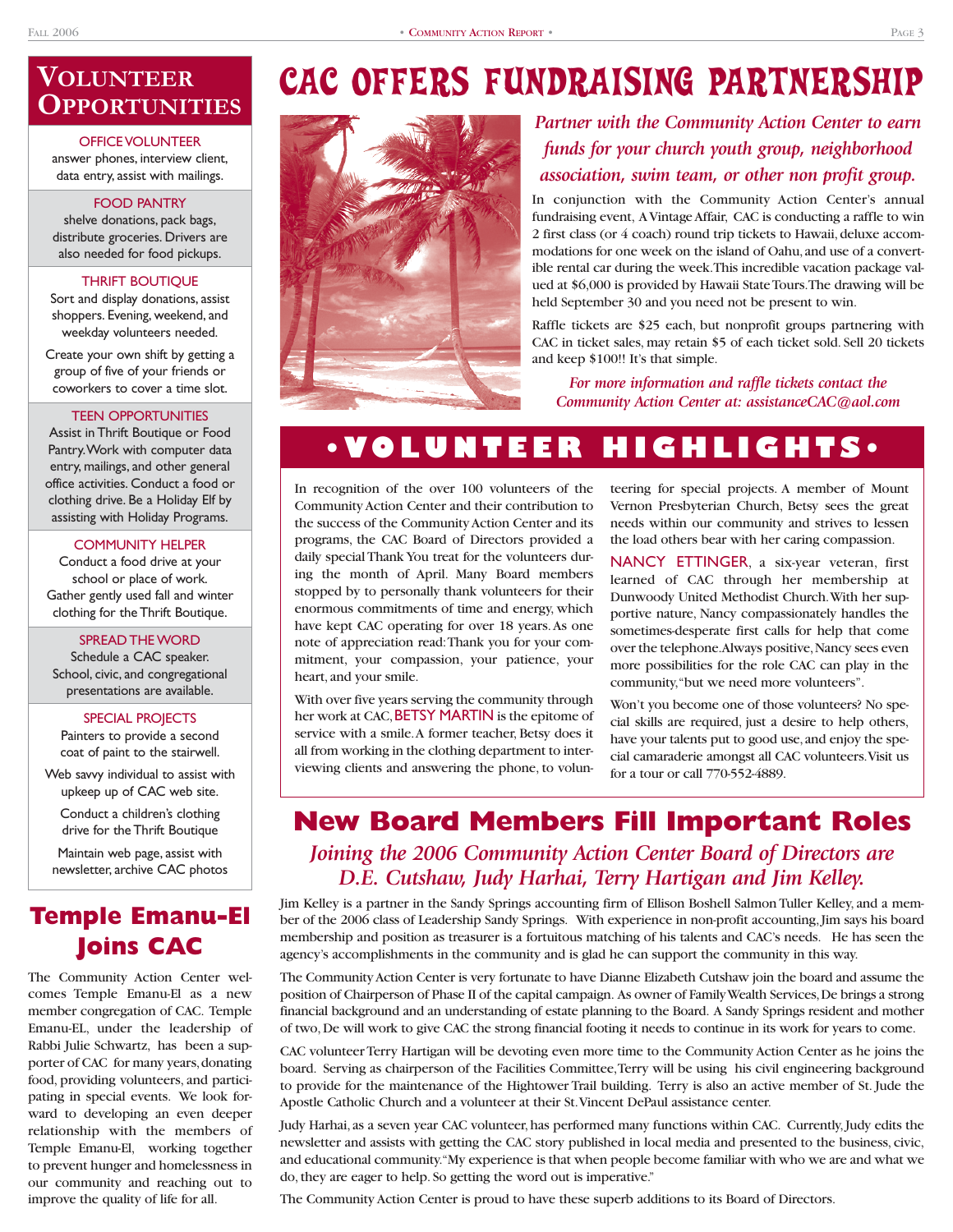## **VOLUNTEER OPPORTUNITIES**

#### OFFICE VOLUNTEER answer phones, interview client, data entry, assist with mailings.

#### FOOD PANTRY

shelve donations, pack bags, distribute groceries. Drivers are also needed for food pickups.

#### THRIFT BOUTIQUE

Sort and display donations, assist shoppers. Evening, weekend, and weekday volunteers needed.

Create your own shift by getting a group of five of your friends or coworkers to cover a time slot.

#### TEEN OPPORTUNITIES

Assist in Thrift Boutique or Food Pantry.Work with computer data entry, mailings, and other general office activities. Conduct a food or clothing drive. Be a Holiday Elf by assisting with Holiday Programs.

#### COMMUNITY HELPER

Conduct a food drive at your school or place of work. Gather gently used fall and winter clothing for the Thrift Boutique.

#### SPREAD THE WORD

Schedule a CAC speaker. School, civic, and congregational presentations are available.

#### SPECIAL PROJECTS

Painters to provide a second coat of paint to the stairwell.

Web savvy individual to assist with upkeep up of CAC web site.

Conduct a children's clothing drive for the Thrift Boutique

Maintain web page, assist with newsletter, archive CAC photos

## **Temple Emanu-El Joins CAC**

The Community Action Center welcomes Temple Emanu-El as a new member congregation of CAC. Temple Emanu-EL, under the leadership of Rabbi Julie Schwartz, has been a supporter of CAC for many years, donating food, providing volunteers, and participating in special events. We look forward to developing an even deeper relationship with the members of Temple Emanu-El, working together to prevent hunger and homelessness in our community and reaching out to improve the quality of life for all.

# CAC OFFERS FUNDRAISING PARTNERSHIP



### *Partner with the Community Action Center to earn funds for your church youth group, neighborhood association, swim team, or other non profit group.*

In conjunction with the Community Action Center's annual fundraising event, A Vintage Affair, CAC is conducting a raffle to win 2 first class (or 4 coach) round trip tickets to Hawaii, deluxe accommodations for one week on the island of Oahu, and use of a convertible rental car during the week.This incredible vacation package valued at \$6,000 is provided by Hawaii State Tours.The drawing will be held September 30 and you need not be present to win.

Raffle tickets are \$25 each, but nonprofit groups partnering with CAC in ticket sales, may retain \$5 of each ticket sold. Sell 20 tickets and keep \$100!! It's that simple.

*For more information and raffle tickets contact the Community Action Center at: assistanceCAC@aol.com*

# **•VOLUNTEER HIGHLIGHTS•**

In recognition of the over 100 volunteers of the Community Action Center and their contribution to the success of the Community Action Center and its programs, the CAC Board of Directors provided a daily special Thank You treat for the volunteers during the month of April. Many Board members stopped by to personally thank volunteers for their enormous commitments of time and energy, which have kept CAC operating for over 18 years.As one note of appreciation read:Thank you for your commitment, your compassion, your patience, your heart, and your smile.

With over five years serving the community through her work at CAC, BETSY MARTIN is the epitome of service with a smile.A former teacher, Betsy does it all from working in the clothing department to interviewing clients and answering the phone, to volunteering for special projects. A member of Mount Vernon Presbyterian Church, Betsy sees the great needs within our community and strives to lessen the load others bear with her caring compassion.

NANCY ETTINGER, a six-year veteran, first learned of CAC through her membership at Dunwoody United Methodist Church.With her supportive nature, Nancy compassionately handles the sometimes-desperate first calls for help that come over the telephone.Always positive,Nancy sees even more possibilities for the role CAC can play in the community,"but we need more volunteers".

Won't you become one of those volunteers? No special skills are required, just a desire to help others, have your talents put to good use, and enjoy the special camaraderie amongst all CAC volunteers.Visit us for a tour or call 770-552-4889.

### **New Board Members Fill Important Roles** *Joining the 2006 Community Action Center Board of Directors are D.E. Cutshaw, Judy Harhai, Terry Hartigan and Jim Kelley.*

Jim Kelley is a partner in the Sandy Springs accounting firm of Ellison Boshell Salmon Tuller Kelley, and a member of the 2006 class of Leadership Sandy Springs. With experience in non-profit accounting,Jim says his board membership and position as treasurer is a fortuitous matching of his talents and CAC's needs. He has seen the agency's accomplishments in the community and is glad he can support the community in this way.

The Community Action Center is very fortunate to have Dianne Elizabeth Cutshaw join the board and assume the position of Chairperson of Phase II of the capital campaign. As owner of Family Wealth Services,De brings a strong financial background and an understanding of estate planning to the Board. A Sandy Springs resident and mother of two,De will work to give CAC the strong financial footing it needs to continue in its work for years to come.

CAC volunteer Terry Hartigan will be devoting even more time to the Community Action Center as he joins the board. Serving as chairperson of the Facilities Committee,Terry will be using his civil engineering background to provide for the maintenance of the Hightower Trail building. Terry is also an active member of St. Jude the Apostle Catholic Church and a volunteer at their St.Vincent DePaul assistance center.

Judy Harhai, as a seven year CAC volunteer, has performed many functions within CAC. Currently, Judy edits the newsletter and assists with getting the CAC story published in local media and presented to the business, civic, and educational community."My experience is that when people become familiar with who we are and what we do, they are eager to help. So getting the word out is imperative."

The Community Action Center is proud to have these superb additions to its Board of Directors.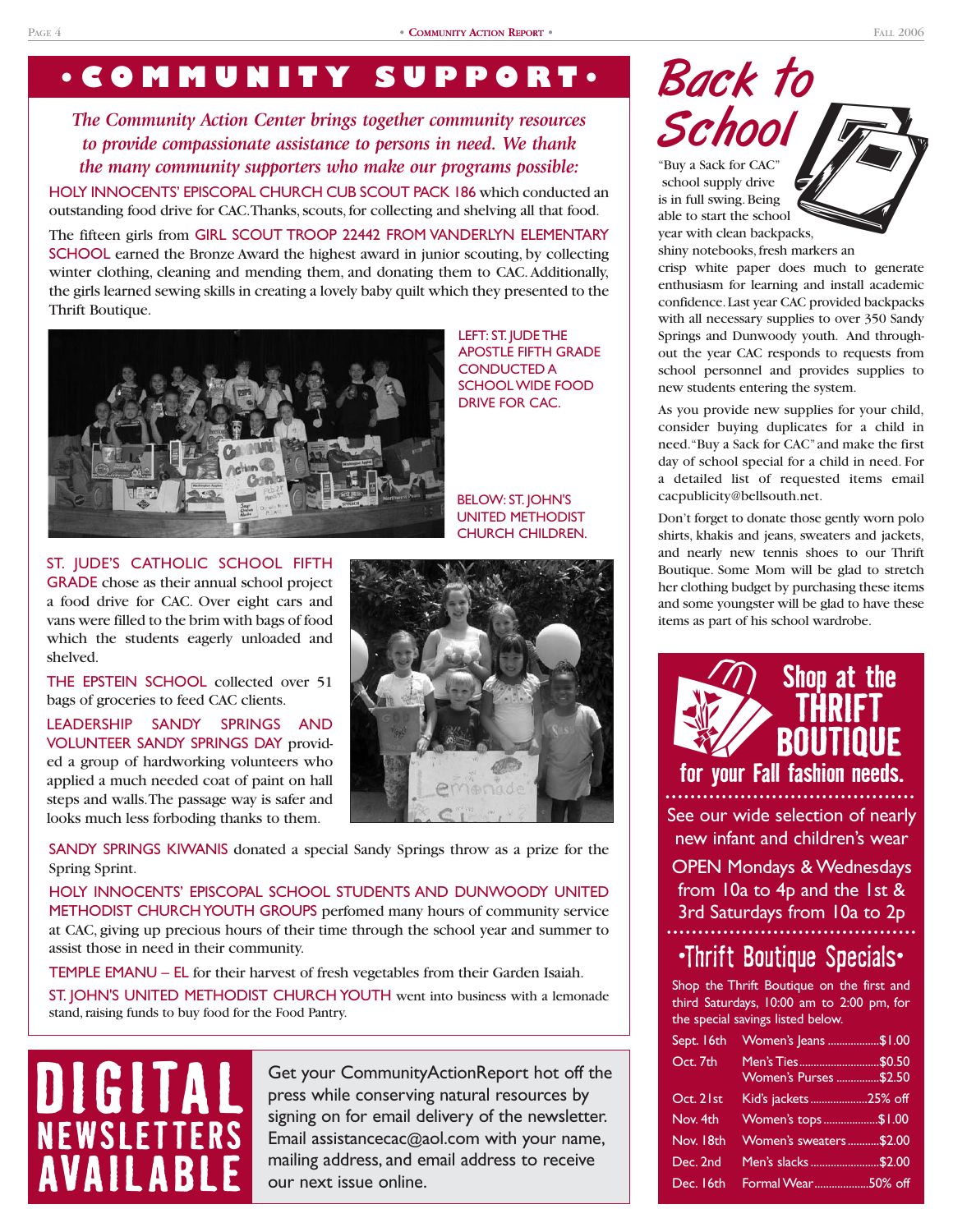# **•COMMUNITY SUPPORT•**

*The Community Action Center brings together community resources to provide compassionate assistance to persons in need. We thank the many community supporters who make our programs possible:*

HOLY INNOCENTS' EPISCOPAL CHURCH CUB SCOUT PACK 186 which conducted an outstanding food drive for CAC.Thanks, scouts, for collecting and shelving all that food.

The fifteen girls from GIRL SCOUT TROOP 22442 FROM VANDERLYN ELEMENTARY SCHOOL earned the Bronze Award the highest award in junior scouting, by collecting winter clothing, cleaning and mending them, and donating them to CAC.Additionally, the girls learned sewing skills in creating a lovely baby quilt which they presented to the Thrift Boutique.



LEFT: ST. JUDE THE APOSTLE FIFTH GRADE CONDUCTED A SCHOOL WIDE FOOD DRIVE FOR CAC.

BELOW: ST. JOHN'S UNITED METHODIST CHURCH CHILDREN.

ST. JUDE'S CATHOLIC SCHOOL FIFTH GRADE chose as their annual school project a food drive for CAC. Over eight cars and vans were filled to the brim with bags of food which the students eagerly unloaded and shelved.

THE EPSTEIN SCHOOL collected over 51 bags of groceries to feed CAC clients.

LEADERSHIP SANDY SPRINGS AND VOLUNTEER SANDY SPRINGS DAY provided a group of hardworking volunteers who applied a much needed coat of paint on hall steps and walls.The passage way is safer and looks much less forboding thanks to them.

SANDY SPRINGS KIWANIS donated a special Sandy Springs throw as a prize for the Spring Sprint.

HOLY INNOCENTS' EPISCOPAL SCHOOL STUDENTS AND DUNWOODY UNITED METHODIST CHURCH YOUTH GROUPS perfomed many hours of community service at CAC, giving up precious hours of their time through the school year and summer to assist those in need in their community.

TEMPLE EMANU – EL for their harvest of fresh vegetables from their Garden Isaiah. ST. JOHN'S UNITED METHODIST CHURCH YOUTH went into business with a lemonade stand, raising funds to buy food for the Food Pantry.

# **DIGITAL NEWSLETTERS AVAILABLE**

Get your CommunityActionReport hot off the press while conserving natural resources by signing on for email delivery of the newsletter. Email assistancecac@aol.com with your name, mailing address, and email address to receive our next issue online.



able to start the school year with clean backpacks,

shiny notebooks, fresh markers an crisp white paper does much to generate enthusiasm for learning and install academic confidence.Last year CAC provided backpacks with all necessary supplies to over 350 Sandy Springs and Dunwoody youth. And throughout the year CAC responds to requests from school personnel and provides supplies to new students entering the system.

As you provide new supplies for your child, consider buying duplicates for a child in need."Buy a Sack for CAC"and make the first day of school special for a child in need. For a detailed list of requested items email cacpublicity@bellsouth.net.

Don't forget to donate those gently worn polo shirts, khakis and jeans, sweaters and jackets, and nearly new tennis shoes to our Thrift Boutique. Some Mom will be glad to stretch her clothing budget by purchasing these items and some youngster will be glad to have these items as part of his school wardrobe.



See our wide selection of nearly new infant and children's wear

OPEN Mondays & Wednesdays from 10a to 4p and the 1st & 3rd Saturdays from 10a to 2p

## •Thrift Boutique Specials•

Shop the Thrift Boutique on the first and third Saturdays, 10:00 am to 2:00 pm, for the special savings listed below.

| Sept. 16th | Women's Jeans \$1.00         |  |
|------------|------------------------------|--|
| Oct. 7th   | <b>Women's Purses \$2.50</b> |  |
| Oct. 21st  | Kid's jackets25% off         |  |
| Nov. 4th   | Women's tops\$1.00           |  |
| Nov. 18th  | Women's sweaters\$2.00       |  |
| Dec. 2nd   | Men's slacks \$2.00          |  |
| Dec. 16th  | Formal Wear50% off           |  |
|            |                              |  |